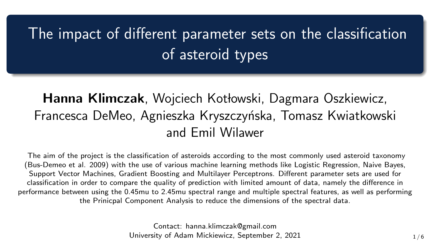# The impact of different parameter sets on the classification of asteroid types

### Hanna Klimczak, Wojciech Kotłowski, Dagmara Oszkiewicz, Francesca DeMeo, Agnieszka Kryszczyńska, Tomasz Kwiatkowski and Emil Wilawer

The aim of the project is the classification of asteroids according to the most commonly used asteroid taxonomy (Bus-Demeo et al. 2009) with the use of various machine learning methods like Logistic Regression, Naive Bayes, Support Vector Machines, Gradient Boosting and Multilayer Perceptrons. Different parameter sets are used for classification in order to compare the quality of prediction with limited amount of data, namely the difference in performance between using the 0.45mu to 2.45mu spectral range and multiple spectral features, as well as performing the Prinicpal Component Analysis to reduce the dimensions of the spectral data.

> Contact: hanna.klimczak@gmail.com University of Adam Mickiewicz, September 2, 2021 1 1/6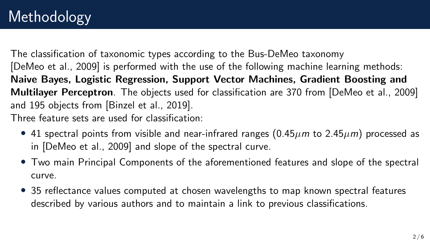The classification of taxonomic types according to the Bus-DeMeo taxonomy [\[DeMeo et al., 2009\]](#page-5-0) is performed with the use of the following machine learning methods: Naive Bayes, Logistic Regression, Support Vector Machines, Gradient Boosting and Multilayer Perceptron. The objects used for classification are 370 from [\[DeMeo et al., 2009\]](#page-5-0) and 195 objects from [\[Binzel et al., 2019\]](#page-5-1). Three feature sets are used for classification:

- 41 spectral points from visible and near-infrared ranges  $(0.45 \mu m)$  to  $2.45 \mu m$ ) processed as in [\[DeMeo et al., 2009\]](#page-5-0) and slope of the spectral curve.
- Two main Principal Components of the aforementioned features and slope of the spectral curve.
- 35 reflectance values computed at chosen wavelengths to map known spectral features described by various authors and to maintain a link to previous classifications.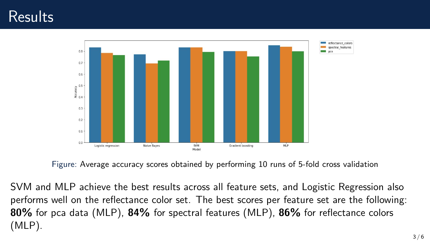### Results



Figure: Average accuracy scores obtained by performing 10 runs of 5-fold cross validation

SVM and MLP achieve the best results across all feature sets, and Logistic Regression also performs well on the reflectance color set. The best scores per feature set are the following: 80% for pca data (MLP), 84% for spectral features (MLP), 86% for reflectance colors (MLP).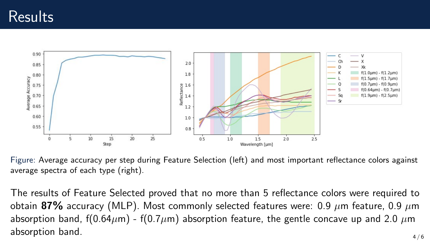#### Results



Figure: Average accuracy per step during Feature Selection (left) and most important reflectance colors against average spectra of each type (right).

The results of Feature Selected proved that no more than 5 reflectance colors were required to obtain 87% accuracy (MLP). Most commonly selected features were: 0.9  $\mu$ m feature, 0.9  $\mu$ m absorption band, f(0.64 $\mu$ m) - f(0.7 $\mu$ m) absorption feature, the gentle concave up and 2.0  $\mu$ m  $\lambda$  absorption band.  $\lambda$  / 6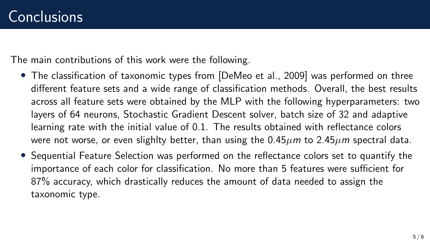The main contributions of this work were the following.

- The classification of taxonomic types from [\[DeMeo et al., 2009\]](#page-5-0) was performed on three different feature sets and a wide range of classification methods. Overall, the best results across all feature sets were obtained by the MLP with the following hyperparameters: two layers of 64 neurons, Stochastic Gradient Descent solver, batch size of 32 and adaptive learning rate with the initial value of 0.1. The results obtained with reflectance colors were not worse, or even slighlty better, than using the  $0.45 \mu m$  to  $2.45 \mu m$  spectral data.
- Sequential Feature Selection was performed on the reflectance colors set to quantify the importance of each color for classification. No more than 5 features were sufficient for 87% accuracy, which drastically reduces the amount of data needed to assign the taxonomic type.